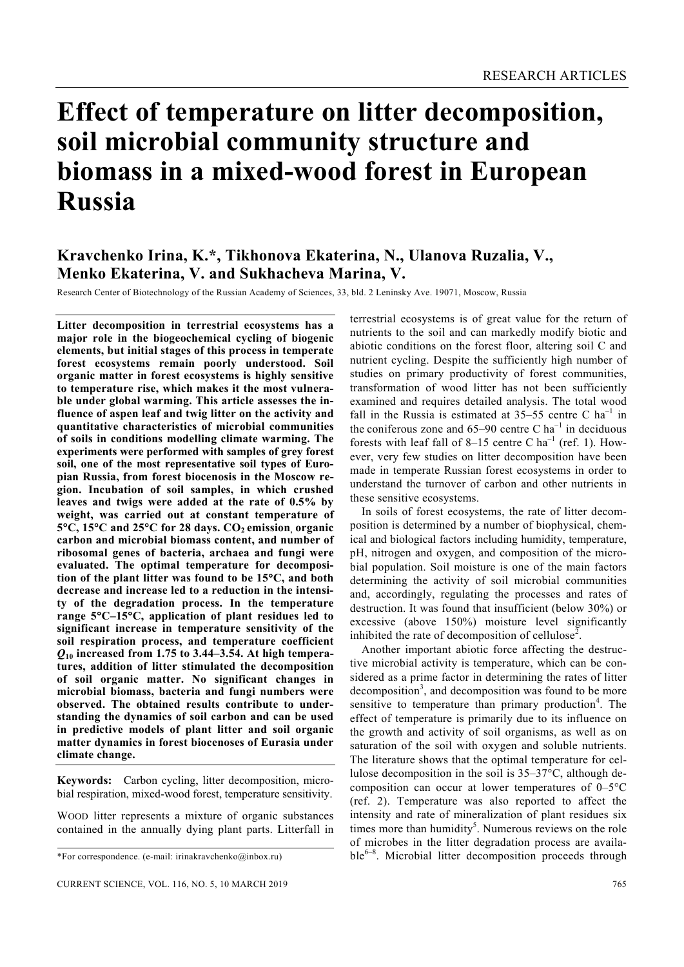# **Effect of temperature on litter decomposition, soil microbial community structure and biomass in a mixed-wood forest in European Russia**

### **Kravchenko Irina, K.\*, Tikhonova Ekaterina, N., Ulanova Ruzalia, V., Menko Ekaterina, V. and Sukhacheva Marina, V.**

Research Center of Biotechnology of the Russian Academy of Sciences, 33, bld. 2 Leninsky Ave. 19071, Moscow, Russia

**Litter decomposition in terrestrial ecosystems has a major role in the biogeochemical cycling of biogenic elements, but initial stages of this process in temperate forest ecosystems remain poorly understood. Soil organic matter in forest ecosystems is highly sensitive to temperature rise, which makes it the most vulnerable under global warming. This article assesses the influence of aspen leaf and twig litter on the activity and quantitative characteristics of microbial communities of soils in conditions modelling climate warming. The experiments were performed with samples of grey forest soil, one of the most representative soil types of Europian Russia, from forest biocenosis in the Moscow region. Incubation of soil samples, in which crushed leaves and twigs were added at the rate of 0.5% by weight, was carried out at constant temperature of**   $5^{\circ}$ C, 15<sup>o</sup>C and 25<sup>o</sup>C for 28 days.  $CO_2$  emission, organic **carbon and microbial biomass content, and number of ribosomal genes of bacteria, archaea and fungi were evaluated. The optimal temperature for decomposition of the plant litter was found to be 15**°**C, and both decrease and increase led to a reduction in the intensity of the degradation process. In the temperature range 5**°**C–15**°**C, application of plant residues led to significant increase in temperature sensitivity of the soil respiration process, and temperature coefficient**   $Q_{10}$  increased from 1.75 to 3.44–3.54. At high tempera**tures, addition of litter stimulated the decomposition of soil organic matter. No significant changes in microbial biomass, bacteria and fungi numbers were observed. The obtained results contribute to understanding the dynamics of soil carbon and can be used in predictive models of plant litter and soil organic matter dynamics in forest biocenoses of Eurasia under climate change.** 

**Keywords:** Carbon cycling, litter decomposition, microbial respiration, mixed-wood forest, temperature sensitivity.

WOOD litter represents a mixture of organic substances contained in the annually dying plant parts. Litterfall in terrestrial ecosystems is of great value for the return of nutrients to the soil and can markedly modify biotic and abiotic conditions on the forest floor, altering soil C and nutrient cycling. Despite the sufficiently high number of studies on primary productivity of forest communities, transformation of wood litter has not been sufficiently examined and requires detailed analysis. The total wood fall in the Russia is estimated at  $35-55$  centre C ha<sup>-1</sup> in the coniferous zone and  $65-90$  centre C ha<sup>-1</sup> in deciduous forests with leaf fall of 8–15 centre C ha<sup>-1</sup> (ref. 1). However, very few studies on litter decomposition have been made in temperate Russian forest ecosystems in order to understand the turnover of carbon and other nutrients in these sensitive ecosystems.

 In soils of forest ecosystems, the rate of litter decomposition is determined by a number of biophysical, chemical and biological factors including humidity, temperature, pH, nitrogen and oxygen, and composition of the microbial population. Soil moisture is one of the main factors determining the activity of soil microbial communities and, accordingly, regulating the processes and rates of destruction. It was found that insufficient (below 30%) or excessive (above 150%) moisture level significantly inhibited the rate of decomposition of cellulose<sup>2</sup>.

 Another important abiotic force affecting the destructive microbial activity is temperature, which can be considered as a prime factor in determining the rates of litter  $decomposition<sup>3</sup>$ , and decomposition was found to be more sensitive to temperature than primary production<sup>4</sup>. The effect of temperature is primarily due to its influence on the growth and activity of soil organisms, as well as on saturation of the soil with oxygen and soluble nutrients. The literature shows that the optimal temperature for cellulose decomposition in the soil is 35–37°C, although decomposition can occur at lower temperatures of 0–5°C (ref. 2). Temperature was also reported to affect the intensity and rate of mineralization of plant residues six times more than humidity<sup>5</sup>. Numerous reviews on the role of microbes in the litter degradation process are available<sup>6-8</sup>. Microbial litter decomposition proceeds through

<sup>\*</sup>For correspondence. (e-mail: irinakravchenko@inbox.ru)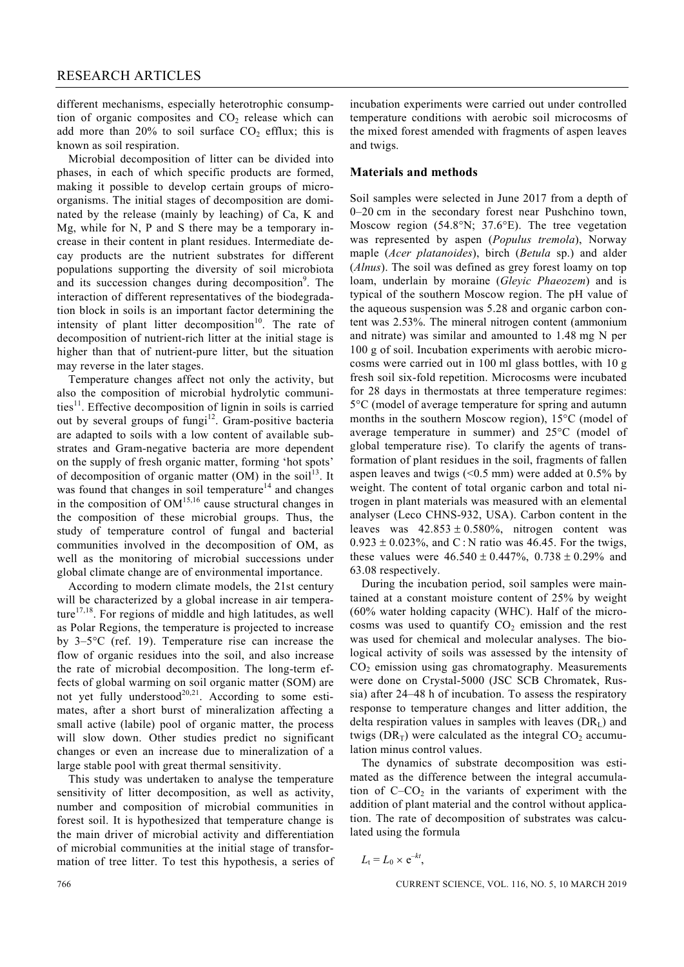different mechanisms, especially heterotrophic consumption of organic composites and  $CO<sub>2</sub>$  release which can add more than  $20\%$  to soil surface  $CO<sub>2</sub>$  efflux; this is known as soil respiration.

 Microbial decomposition of litter can be divided into phases, in each of which specific products are formed, making it possible to develop certain groups of microorganisms. The initial stages of decomposition are dominated by the release (mainly by leaching) of Ca, K and Mg, while for N, P and S there may be a temporary increase in their content in plant residues. Intermediate decay products are the nutrient substrates for different populations supporting the diversity of soil microbiota and its succession changes during decomposition<sup>9</sup>. The interaction of different representatives of the biodegradation block in soils is an important factor determining the intensity of plant litter decomposition<sup>10</sup>. The rate of decomposition of nutrient-rich litter at the initial stage is higher than that of nutrient-pure litter, but the situation may reverse in the later stages.

 Temperature changes affect not only the activity, but also the composition of microbial hydrolytic communities<sup>11</sup>. Effective decomposition of lignin in soils is carried out by several groups of fungi<sup>12</sup>. Gram-positive bacteria are adapted to soils with a low content of available substrates and Gram-negative bacteria are more dependent on the supply of fresh organic matter, forming 'hot spots' of decomposition of organic matter (OM) in the soil<sup>13</sup>. It was found that changes in soil temperature<sup>14</sup> and changes in the composition of  $OM<sup>15,16</sup>$  cause structural changes in the composition of these microbial groups. Thus, the study of temperature control of fungal and bacterial communities involved in the decomposition of OM, as well as the monitoring of microbial successions under global climate change are of environmental importance.

 According to modern climate models, the 21st century will be characterized by a global increase in air tempera $ture<sup>17,18</sup>$ . For regions of middle and high latitudes, as well as Polar Regions, the temperature is projected to increase by 3–5°C (ref. 19). Temperature rise can increase the flow of organic residues into the soil, and also increase the rate of microbial decomposition. The long-term effects of global warming on soil organic matter (SOM) are not yet fully understood<sup>20,21</sup>. According to some estimates, after a short burst of mineralization affecting a small active (labile) pool of organic matter, the process will slow down. Other studies predict no significant changes or even an increase due to mineralization of a large stable pool with great thermal sensitivity.

 This study was undertaken to analyse the temperature sensitivity of litter decomposition, as well as activity, number and composition of microbial communities in forest soil. It is hypothesized that temperature change is the main driver of microbial activity and differentiation of microbial communities at the initial stage of transformation of tree litter. To test this hypothesis, a series of incubation experiments were carried out under controlled temperature conditions with aerobic soil microcosms of the mixed forest amended with fragments of aspen leaves and twigs.

#### **Materials and methods**

Soil samples were selected in June 2017 from a depth of 0–20 cm in the secondary forest near Pushchino town, Moscow region (54.8°N; 37.6°E). The tree vegetation was represented by aspen (*Populus tremola*), Norway maple (*Acer platanoides*), birch (*Betula* sp.) and alder (*Alnus*). The soil was defined as grey forest loamy on top loam, underlain by moraine (*Gleyic Phaeozem*) and is typical of the southern Moscow region. The pH value of the aqueous suspension was 5.28 and organic carbon content was 2.53%. The mineral nitrogen content (ammonium and nitrate) was similar and amounted to 1.48 mg N per 100 g of soil. Incubation experiments with aerobic microcosms were carried out in 100 ml glass bottles, with 10 g fresh soil six-fold repetition. Microcosms were incubated for 28 days in thermostats at three temperature regimes: 5°C (model of average temperature for spring and autumn months in the southern Moscow region), 15°C (model of average temperature in summer) and 25°C (model of global temperature rise). To clarify the agents of transformation of plant residues in the soil, fragments of fallen aspen leaves and twigs  $(< 0.5$  mm) were added at  $0.5\%$  by weight. The content of total organic carbon and total nitrogen in plant materials was measured with an elemental analyser (Leco CHNS-932, USA). Carbon content in the leaves was  $42.853 \pm 0.580\%$ , nitrogen content was  $0.923 \pm 0.023\%$ , and C: N ratio was 46.45. For the twigs, these values were  $46.540 \pm 0.447\%$ ,  $0.738 \pm 0.29\%$  and 63.08 respectively.

 During the incubation period, soil samples were maintained at a constant moisture content of 25% by weight (60% water holding capacity (WHC). Half of the microcosms was used to quantify  $CO<sub>2</sub>$  emission and the rest was used for chemical and molecular analyses. The biological activity of soils was assessed by the intensity of  $CO<sub>2</sub>$  emission using gas chromatography. Measurements were done on Crystal-5000 (JSC SCB Chromatek, Russia) after 24–48 h of incubation. To assess the respiratory response to temperature changes and litter addition, the delta respiration values in samples with leaves  $(DR<sub>L</sub>)$  and twigs (DR<sub>T</sub>) were calculated as the integral  $CO<sub>2</sub>$  accumulation minus control values.

 The dynamics of substrate decomposition was estimated as the difference between the integral accumulation of  $C$ – $CO<sub>2</sub>$  in the variants of experiment with the addition of plant material and the control without application. The rate of decomposition of substrates was calculated using the formula

$$
L_{\rm t}=L_0\times e^{-kt},
$$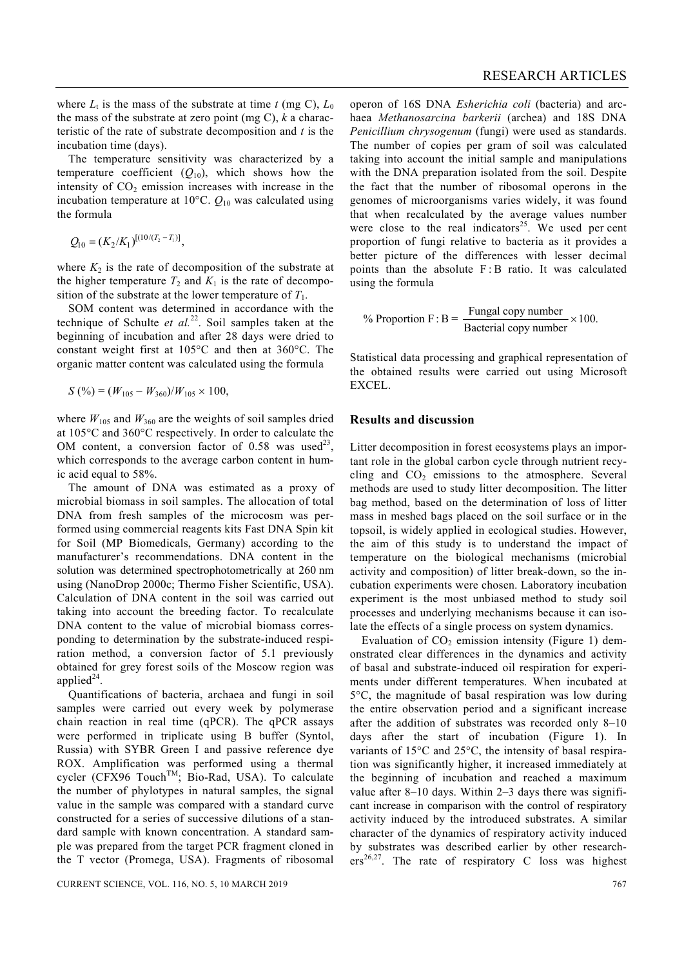where  $L_t$  is the mass of the substrate at time *t* (mg C),  $L_0$ the mass of the substrate at zero point (mg C), *k* a characteristic of the rate of substrate decomposition and *t* is the incubation time (days).

 The temperature sensitivity was characterized by a temperature coefficient  $(Q_{10})$ , which shows how the intensity of  $CO<sub>2</sub>$  emission increases with increase in the incubation temperature at 10°C. *Q*10 was calculated using the formula

$$
Q_{10} = (K_2/K_1)^{[(10/(T_2 - T_1))]},
$$

where  $K_2$  is the rate of decomposition of the substrate at the higher temperature  $T_2$  and  $K_1$  is the rate of decomposition of the substrate at the lower temperature of  $T_1$ .

 SOM content was determined in accordance with the technique of Schulte *et al.*22. Soil samples taken at the beginning of incubation and after 28 days were dried to constant weight first at 105°C and then at 360°C. The organic matter content was calculated using the formula

$$
S(9'_0) = (W_{105} - W_{360})/W_{105} \times 100,
$$

where  $W_{105}$  and  $W_{360}$  are the weights of soil samples dried at 105°C and 360°С respectively. In order to calculate the OM content, a conversion factor of  $0.58$  was used<sup>23</sup>, which corresponds to the average carbon content in humic acid equal to 58%.

 The amount of DNA was estimated as a proxy of microbial biomass in soil samples. The allocation of total DNA from fresh samples of the microcosm was performed using commercial reagents kits Fast DNA Spin kit for Soil (MP Biomedicals, Germany) according to the manufacturer's recommendations. DNA content in the solution was determined spectrophotometrically at 260 nm using (NanoDrop 2000c; Thermo Fisher Scientific, USA). Calculation of DNA content in the soil was carried out taking into account the breeding factor. To recalculate DNA content to the value of microbial biomass corresponding to determination by the substrate-induced respiration method, a conversion factor of 5.1 previously obtained for grey forest soils of the Moscow region was applied $^{24}$ .

 Quantifications of bacteria, archaea and fungi in soil samples were carried out every week by polymerase chain reaction in real time (qPCR). The qPCR assays were performed in triplicate using B buffer (Syntol, Russia) with SYBR Green I and passive reference dye ROX. Amplification was performed using a thermal cycler (CFX96 Touch<sup>™</sup>; Bio-Rad, USA). To calculate the number of phylotypes in natural samples, the signal value in the sample was compared with a standard curve constructed for a series of successive dilutions of a standard sample with known concentration. A standard sample was prepared from the target PCR fragment cloned in the T vector (Promega, USA). Fragments of ribosomal operon of 16S DNA *Esherichia coli* (bacteria) and archaea *Methanosarcina barkerii* (archea) and 18S DNA *Penicillium chrysogenum* (fungi) were used as standards. The number of copies per gram of soil was calculated taking into account the initial sample and manipulations with the DNA preparation isolated from the soil. Despite the fact that the number of ribosomal operons in the genomes of microorganisms varies widely, it was found that when recalculated by the average values number were close to the real indicators<sup>25</sup>. We used per cent proportion of fungi relative to bacteria as it provides a better picture of the differences with lesser decimal points than the absolute F : B ratio. It was calculated using the formula

% Proportion F : B = 
$$
\frac{\text{Fungal copy number}}{\text{Bacterial copy number}} \times 100.
$$

Statistical data processing and graphical representation of the obtained results were carried out using Microsoft EXCEL.

#### **Results and discussion**

Litter decomposition in forest ecosystems plays an important role in the global carbon cycle through nutrient recycling and  $CO<sub>2</sub>$  emissions to the atmosphere. Several methods are used to study litter decomposition. The litter bag method, based on the determination of loss of litter mass in meshed bags placed on the soil surface or in the topsoil, is widely applied in ecological studies. However, the aim of this study is to understand the impact of temperature on the biological mechanisms (microbial activity and composition) of litter break-down, so the incubation experiments were chosen. Laboratory incubation experiment is the most unbiased method to study soil processes and underlying mechanisms because it can isolate the effects of a single process on system dynamics.

Evaluation of  $CO<sub>2</sub>$  emission intensity (Figure 1) demonstrated clear differences in the dynamics and activity of basal and substrate-induced oil respiration for experiments under different temperatures. When incubated at 5°C, the magnitude of basal respiration was low during the entire observation period and a significant increase after the addition of substrates was recorded only 8–10 days after the start of incubation (Figure 1). In variants of 15°C and 25°C, the intensity of basal respiration was significantly higher, it increased immediately at the beginning of incubation and reached a maximum value after 8–10 days. Within 2–3 days there was significant increase in comparison with the control of respiratory activity induced by the introduced substrates. A similar character of the dynamics of respiratory activity induced by substrates was described earlier by other research $ers^{26,27}$ . The rate of respiratory C loss was highest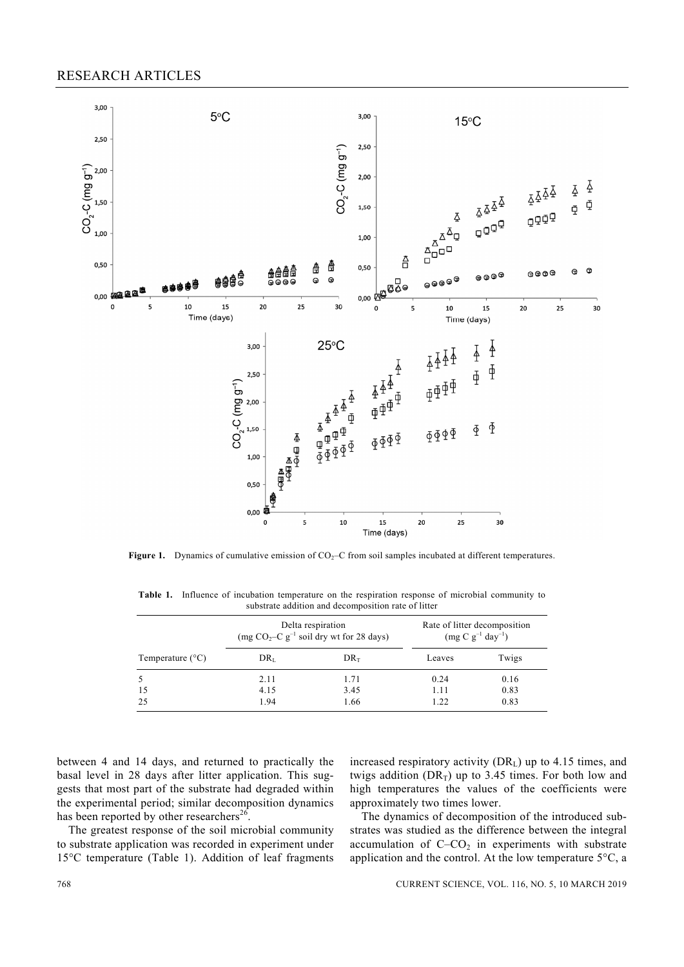

Figure 1. Dynamics of cumulative emission of CO<sub>2</sub>–C from soil samples incubated at different temperatures.

**Table 1.** Influence of incubation temperature on the respiration response of microbial community to substrate addition and decomposition rate of litter

|                           | Delta respiration<br>(mg CO <sub>2</sub> -C $g^{-1}$ soil dry wt for 28 days) |        | Rate of litter decomposition<br>$(mg C g^{-1} day^{-1})$ |       |
|---------------------------|-------------------------------------------------------------------------------|--------|----------------------------------------------------------|-------|
| Temperature $(^{\circ}C)$ | DR <sub>L</sub>                                                               | $DR_T$ | Leaves                                                   | Twigs |
| 5                         | 2.11                                                                          | 1.71   | 0.24                                                     | 0.16  |
| 15                        | 4.15                                                                          | 3.45   | 1.11                                                     | 0.83  |
| 25                        | 1.94                                                                          | 1.66   | 1.22                                                     | 0.83  |

between 4 and 14 days, and returned to practically the basal level in 28 days after litter application. This suggests that most part of the substrate had degraded within the experimental period; similar decomposition dynamics has been reported by other researchers<sup>26</sup>.

 The greatest response of the soil microbial community to substrate application was recorded in experiment under 15°C temperature (Table 1). Addition of leaf fragments increased respiratory activity  $(DR<sub>L</sub>)$  up to 4.15 times, and twigs addition  $(DR_T)$  up to 3.45 times. For both low and high temperatures the values of the coefficients were approximately two times lower.

 The dynamics of decomposition of the introduced substrates was studied as the difference between the integral accumulation of  $C$ – $CO<sub>2</sub>$  in experiments with substrate application and the control. At the low temperature 5°C, a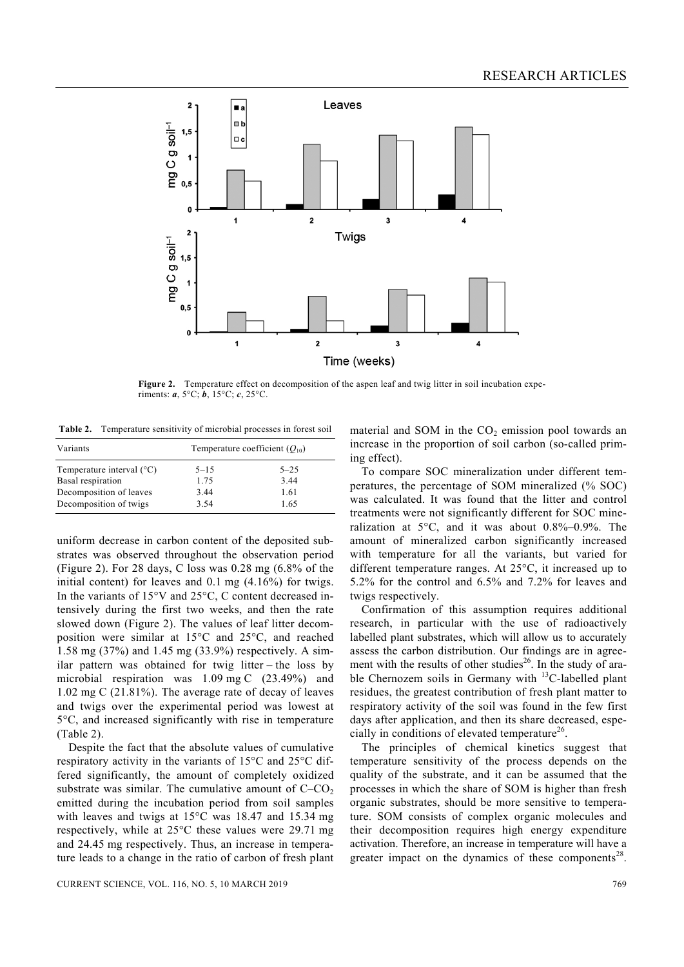

**Figure 2.** Temperature effect on decomposition of the aspen leaf and twig litter in soil incubation experiments: *a*, 5°C; *b*, 15°C; *c*, 25°C.

**Table 2.** Temperature sensitivity of microbial processes in forest soil

| Variants                           |          | Temperature coefficient $(O_{10})$ |  |
|------------------------------------|----------|------------------------------------|--|
| Temperature interval $(^{\circ}C)$ | $5 - 15$ | $5 - 25$                           |  |
| Basal respiration                  | 1.75     | 3.44                               |  |
| Decomposition of leaves            | 3.44     | 1.61                               |  |
| Decomposition of twigs.            | 3.54     | 1.65                               |  |

uniform decrease in carbon content of the deposited substrates was observed throughout the observation period (Figure 2). For 28 days, C loss was 0.28 mg (6.8% of the initial content) for leaves and 0.1 mg (4.16%) for twigs. In the variants of 15°V and 25°C, C content decreased intensively during the first two weeks, and then the rate slowed down (Figure 2). The values of leaf litter decomposition were similar at 15°C and 25°C, and reached 1.58 mg (37%) and 1.45 mg (33.9%) respectively. A similar pattern was obtained for twig litter – the loss by microbial respiration was 1.09 mg C (23.49%) and 1.02 mg C (21.81%). The average rate of decay of leaves and twigs over the experimental period was lowest at 5°C, and increased significantly with rise in temperature (Table 2).

 Despite the fact that the absolute values of cumulative respiratory activity in the variants of 15°C and 25°C differed significantly, the amount of completely oxidized substrate was similar. The cumulative amount of  $C$ – $CO<sub>2</sub>$ emitted during the incubation period from soil samples with leaves and twigs at 15°C was 18.47 and 15.34 mg respectively, while at 25°C these values were 29.71 mg and 24.45 mg respectively. Thus, an increase in temperature leads to a change in the ratio of carbon of fresh plant

material and SOM in the  $CO<sub>2</sub>$  emission pool towards an increase in the proportion of soil carbon (so-called priming effect).

 To compare SOC mineralization under different temperatures, the percentage of SOM mineralized (% SOC) was calculated. It was found that the litter and control treatments were not significantly different for SOC mineralization at 5°C, and it was about 0.8%–0.9%. The amount of mineralized carbon significantly increased with temperature for all the variants, but varied for different temperature ranges. At 25°C, it increased up to 5.2% for the control and 6.5% and 7.2% for leaves and twigs respectively.

 Confirmation of this assumption requires additional research, in particular with the use of radioactively labelled plant substrates, which will allow us to accurately assess the carbon distribution. Our findings are in agreement with the results of other studies<sup>26</sup>. In the study of arable Chernozem soils in Germany with <sup>13</sup>C-labelled plant residues, the greatest contribution of fresh plant matter to respiratory activity of the soil was found in the few first days after application, and then its share decreased, especially in conditions of elevated temperature<sup>26</sup>.

 The principles of chemical kinetics suggest that temperature sensitivity of the process depends on the quality of the substrate, and it can be assumed that the processes in which the share of SOM is higher than fresh organic substrates, should be more sensitive to temperature. SOM consists of complex organic molecules and their decomposition requires high energy expenditure activation. Therefore, an increase in temperature will have a greater impact on the dynamics of these components<sup>28</sup>.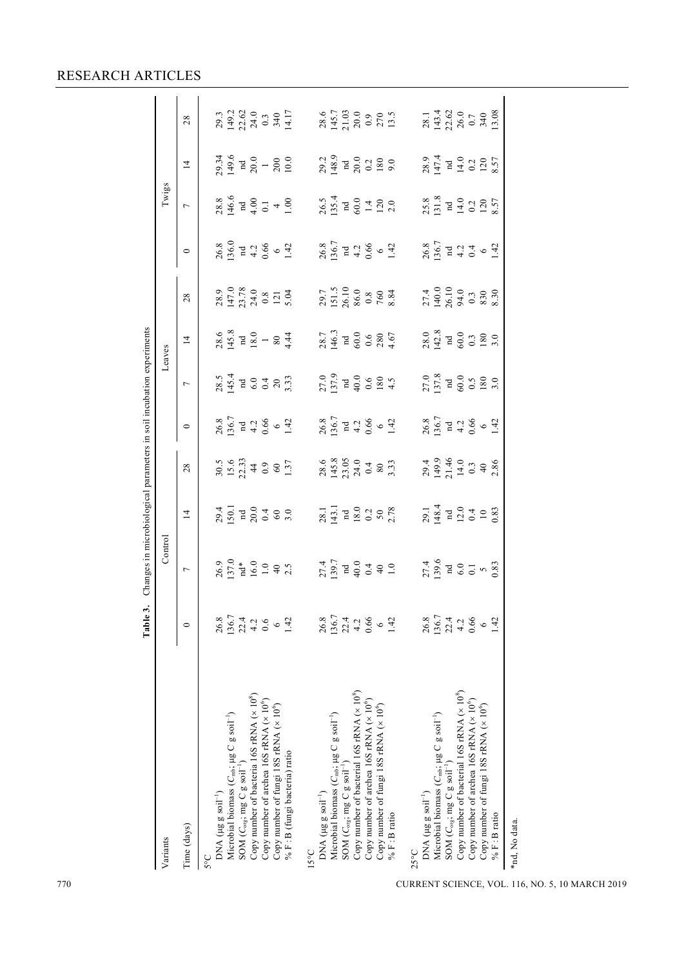## 770 CURRENT SCIENCE, VOL. 116, NO. 5, 10 MARCH 2019 **Table 3.** Changes in microbiological parameters in soil incubation experiments Variants Control Leaves Twigs Time (days) 0 7 14 28 0 7 14 28 0 7 14 28 5°C DNA (μg g soil–1) 28.8 26.8 36.8 36.9 26.9 26.9 26.9 28.5 28.5 28.5 28.5 28.5 28.5 29.34 29.34 29.34 29.34 29.34 Microbial biomass ( Сmb; ug C g soil<sup>-1</sup>) 145.4 136.7 145.4 145.4 145.4 145.4 147.0 147.0 146.6 146.6 146.6 149.6 149.6 149.5 149.7 149.8 147.0 147.0 147.0 147.0 147.0 147.0 147.0 147.0 147.0 147.0 147.0 147.0 147.0 147.0 147.0 147.0 147.0 Microbial biomass  $(C_{mis}$ ; µg C g soil<sup>-1</sup>)<br>SOM  $(C_{cys}$ ; mg C g soil<sup>-1</sup>)<br>Copy number of bacteria 16S rRNA (× 10<sup>8</sup>)  $C_{\text{orig}}$ ; mg C g soil–1) nd  $22.4$  nd nd nd nd 22.4 nd 22.62 Copy number of bacteria 16S rRNA (× 108) 4.2 16.0 20.0 44 4.2 6.0 18.0 24.0 4.2 4.00 20.0 24.0 Copy number of archea 16S rRNA (× 106) 0.6 1.0 0.4 0.9 0.66 0.4 1 0.8 0.66 0.1 1 0.3 Of a copy of the copy of the copy of the copy of the copy of the copy of the copy of the copy of the copy of the copy of the copy of the copy of the copy of the copy of the copy of the copy of the copy of the copy of the % F : B (fungi bacteria) ratio 1.42 2.5 3.0 1.37 1.42 3.33 4.44 5.04 1.42 1.00 10.0 14.17 15°С DNA (μg g soil–1) 20.5 20.8 26.8 26.8 26.8 26.8 26.8 28.7 28.7 29.7 29.2 26.8 26.8 26.8 28.6 Microbial biomass ( *С*mb; μg C g soil–1) 136.7 139.7 143.1 145.8 136.7 137.9 146.3 151.5 136.7 135.4 148.9 145.7 SOM  $(C_{\text{org}}; \text{mg } C g \text{ soil}^{-1})$ <br>Copy number of bacterial 16S rRNA  $(\times 10^8)$  $C_{\rm out}$ ; mg C g soil–1) nd nd nd nd nd nd 22.4 nd 22.4 nd 10 nd 10 nd 10 nd 10 nd 21.03 Copy number of bacterial 16S rRNA (× 108) 4.2 40.0 18.0 24.0 4.2 40.0 60.0 86.0 4.2 60.0 20.0 20.0 Copy number of archea 16S rRNA (× 106) 0.66 0.4 0.2 0.4 0.66 0.6 0.6 0.8 0.66 1.4 0.2 0.9 Copy number of 18D and the copy of the copy of the copy of the copy of the copy of the copy of the copy of the copy of the copy of the copy of the copy of the copy of the copy of the copy of the copy of the copy of the co % Fractio 1.42 1.42 1.42 1.42 1.42 1.45 4.5 4.67 8.84 1.42 2.0 9.0 1.3.5 25°С DNA (μg g soil–1) 26.8 26.8 26.8 26.8 26.8 26.8 26.8 27.4 27.4 28.0 28.0 27.4 27.4 28.9 26.8 26.8 25.8 28.9 25 Microbial biomass ( Cmb; հերշե 2011–ի 131.8 131.8 136.7 148.4 148.4 148.4 148.4 148.4 143.6 142.8 140.0 136.7 147.4 147.4 143.4 143.4  $\mathrm{SOM}$   $(C_{\mathrm{org}},$  mg C g  $\mathrm{soil}^{-1})$  $C_{\text{osc}}$ ; mg C g soil<sup>-1</sup>) and 22.4 nd nd nd nd 12.62 nd 22.62 Copy number of bacterial 16S rRNA (× 108) 4.2 6.0 12.0 14.0 4.2 60.0 60.0 94.0 4.2 14.0 14.0 26.0 Copy number of archea 16S rRNA (× 106) 0.56 0.366 0.56 0.366 0.366 0.366 0.366 0.3 0.3 0.3 0.2 0.2 0.2 0.2 0.2 Copy number of fungi 18S rRNA (× 106) 6 5 10 40 6 180 180 830 6 120 120 340 % F : B ratio 1.42 0.83 0.83 2.86 1.42 3.0 3.0 8.30 1.42 8.57 8.57 13.08

RESEARCH ARTICLES

\*nd, No data.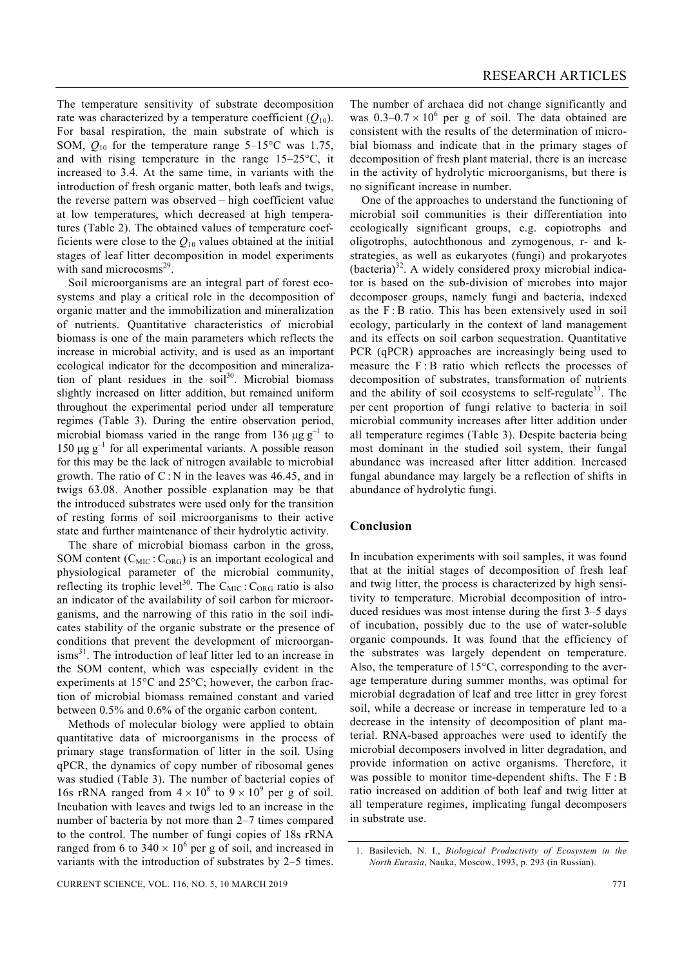The temperature sensitivity of substrate decomposition rate was characterized by a temperature coefficient  $(Q_{10})$ . For basal respiration, the main substrate of which is SOM,  $Q_{10}$  for the temperature range 5–15°C was 1.75, and with rising temperature in the range 15–25°C, it increased to 3.4. At the same time, in variants with the introduction of fresh organic matter, both leafs and twigs, the reverse pattern was observed – high coefficient value at low temperatures, which decreased at high temperatures (Table 2). The obtained values of temperature coefficients were close to the  $Q_{10}$  values obtained at the initial stages of leaf litter decomposition in model experiments with sand microcosms $^{29}$ .

 Soil microorganisms are an integral part of forest ecosystems and play a critical role in the decomposition of organic matter and the immobilization and mineralization of nutrients. Quantitative characteristics of microbial biomass is one of the main parameters which reflects the increase in microbial activity, and is used as an important ecological indicator for the decomposition and mineralization of plant residues in the soil<sup>30</sup>. Microbial biomass slightly increased on litter addition, but remained uniform throughout the experimental period under all temperature regimes (Table 3). During the entire observation period, microbial biomass varied in the range from 136 μg  $g^{-1}$  to 150 μg  $g^{-1}$  for all experimental variants. A possible reason for this may be the lack of nitrogen available to microbial growth. The ratio of  $C : N$  in the leaves was 46.45, and in twigs 63.08. Another possible explanation may be that the introduced substrates were used only for the transition of resting forms of soil microorganisms to their active state and further maintenance of their hydrolytic activity.

 The share of microbial biomass carbon in the gross, SOM content  $(C_{\text{MIC}}: C_{\text{ORG}})$  is an important ecological and physiological parameter of the microbial community, reflecting its trophic level<sup>30</sup>. The  $C_{\text{MIC}}$ :  $C_{\text{ORG}}$  ratio is also an indicator of the availability of soil carbon for microorganisms, and the narrowing of this ratio in the soil indicates stability of the organic substrate or the presence of conditions that prevent the development of microorganisms<sup>31</sup>. The introduction of leaf litter led to an increase in the SOM content, which was especially evident in the experiments at 15°C and 25°C; however, the carbon fraction of microbial biomass remained constant and varied between 0.5% and 0.6% of the organic carbon content.

 Methods of molecular biology were applied to obtain quantitative data of microorganisms in the process of primary stage transformation of litter in the soil. Using qPCR, the dynamics of copy number of ribosomal genes was studied (Table 3). The number of bacterial copies of 16s rRNA ranged from  $4 \times 10^8$  to  $9 \times 10^9$  per g of soil. Incubation with leaves and twigs led to an increase in the number of bacteria by not more than 2–7 times compared to the control. The number of fungi copies of 18s rRNA ranged from 6 to  $340 \times 10^6$  per g of soil, and increased in variants with the introduction of substrates by 2–5 times.

The number of archaea did not change significantly and was  $0.3-0.7 \times 10^6$  per g of soil. The data obtained are consistent with the results of the determination of microbial biomass and indicate that in the primary stages of decomposition of fresh plant material, there is an increase in the activity of hydrolytic microorganisms, but there is no significant increase in number.

 One of the approaches to understand the functioning of microbial soil communities is their differentiation into ecologically significant groups, e.g. copiotrophs and oligotrophs, autochthonous and zymogenous, r- and kstrategies, as well as eukaryotes (fungi) and prokaryotes  $(bacteria)^{32}$ . A widely considered proxy microbial indicator is based on the sub-division of microbes into major decomposer groups, namely fungi and bacteria, indexed as the F : B ratio. This has been extensively used in soil ecology, particularly in the context of land management and its effects on soil carbon sequestration. Quantitative PCR (qPCR) approaches are increasingly being used to measure the F:B ratio which reflects the processes of decomposition of substrates, transformation of nutrients and the ability of soil ecosystems to self-regulate<sup>33</sup>. The per cent proportion of fungi relative to bacteria in soil microbial community increases after litter addition under all temperature regimes (Table 3). Despite bacteria being most dominant in the studied soil system, their fungal abundance was increased after litter addition. Increased fungal abundance may largely be a reflection of shifts in abundance of hydrolytic fungi.

### **Conclusion**

In incubation experiments with soil samples, it was found that at the initial stages of decomposition of fresh leaf and twig litter, the process is characterized by high sensitivity to temperature. Microbial decomposition of introduced residues was most intense during the first 3–5 days of incubation, possibly due to the use of water-soluble organic compounds. It was found that the efficiency of the substrates was largely dependent on temperature. Also, the temperature of 15°C, corresponding to the average temperature during summer months, was optimal for microbial degradation of leaf and tree litter in grey forest soil, while a decrease or increase in temperature led to a decrease in the intensity of decomposition of plant material. RNA-based approaches were used to identify the microbial decomposers involved in litter degradation, and provide information on active organisms. Therefore, it was possible to monitor time-dependent shifts. The F : B ratio increased on addition of both leaf and twig litter at all temperature regimes, implicating fungal decomposers in substrate use.

<sup>1.</sup> Basilevich, N. I., *Biological Productivity of Ecosystem in the North Eurasia*, Nauka, Moscow, 1993, p. 293 (in Russian).